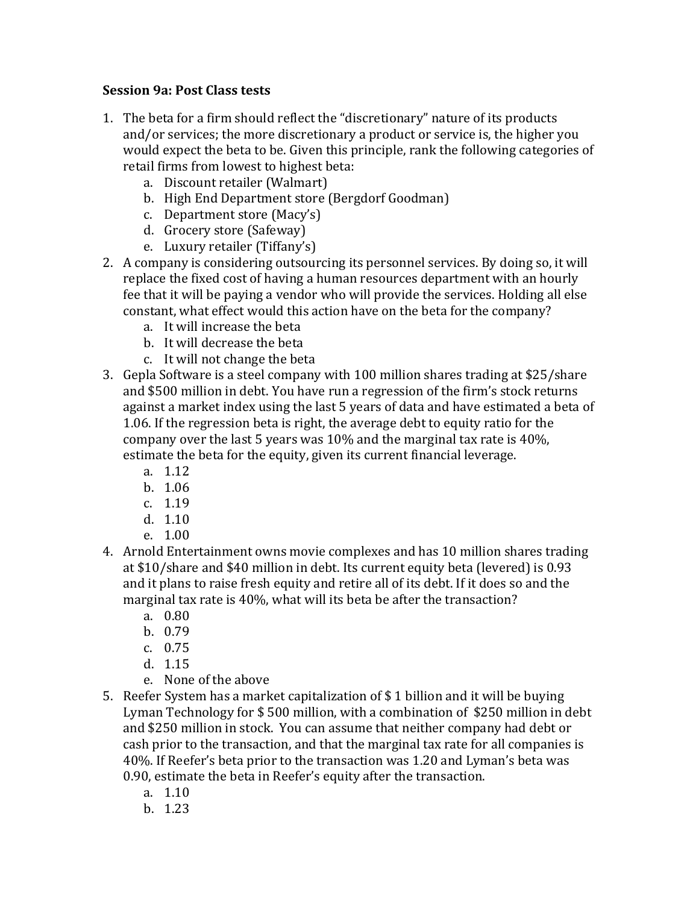## **Session 9a: Post Class tests**

- 1. The beta for a firm should reflect the "discretionary" nature of its products and/or services; the more discretionary a product or service is, the higher you would expect the beta to be. Given this principle, rank the following categories of retail firms from lowest to highest beta:
	- a. Discount retailer (Walmart)
	- b. High End Department store (Bergdorf Goodman)
	- c. Department store (Macy's)
	- d. Grocery store (Safeway)
	- e. Luxury retailer (Tiffany's)
- 2. A company is considering outsourcing its personnel services. By doing so, it will replace the fixed cost of having a human resources department with an hourly fee that it will be paying a vendor who will provide the services. Holding all else constant, what effect would this action have on the beta for the company?
	- a. It will increase the beta
	- b. It will decrease the beta
	- c. It will not change the beta
- 3. Gepla Software is a steel company with 100 million shares trading at \$25/share and \$500 million in debt. You have run a regression of the firm's stock returns against a market index using the last 5 years of data and have estimated a beta of 1.06. If the regression beta is right, the average debt to equity ratio for the company over the last 5 years was  $10\%$  and the marginal tax rate is 40%, estimate the beta for the equity, given its current financial leverage.
	- a. 1.12
	- b. 1.06
	- c. 1.19
	- d. 1.10
	- e. 1.00
- 4. Arnold Entertainment owns movie complexes and has 10 million shares trading at \$10/share and \$40 million in debt. Its current equity beta (levered) is 0.93 and it plans to raise fresh equity and retire all of its debt. If it does so and the marginal tax rate is 40%, what will its beta be after the transaction?
	- a. 0.80
	- b. 0.79
	- c. 0.75
	- d. 1.15
	- e. None of the above
- 5. Reefer System has a market capitalization of  $$1$  billion and it will be buying Lyman Technology for  $$500$  million, with a combination of  $$250$  million in debt and \$250 million in stock. You can assume that neither company had debt or cash prior to the transaction, and that the marginal tax rate for all companies is 40%. If Reefer's beta prior to the transaction was 1.20 and Lyman's beta was 0.90, estimate the beta in Reefer's equity after the transaction.
	- a. 1.10
	- b. 1.23